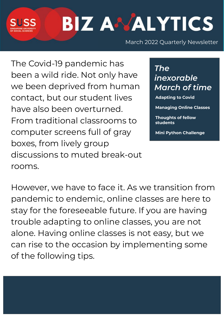# **BIZ ANALYTICS**

March 2022 Quarterly Newsletter

The Covid-19 pandemic has been a wild ride. Not only have we been deprived from human contact, but our student lives have also been overturned. From traditional classrooms to computer screens full of gray boxes, from lively group discussions to muted break-out rooms.

*The inexorable March of time*

**Adapting to Covid** 

**Managing Online Classes**

**Thoughts of fellow students**

**Mini Python Challenge** 

However, we have to face it. As we transition from pandemic to endemic, online classes are here to stay for the foreseeable future. If you are having trouble adapting to online classes, you are not alone. Having online classes is not easy, but we can rise to the occasion by implementing some of the following tips.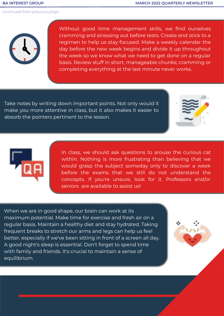

Without good time management skills, we find ourselves cramming and stressing out before tests. Create and stick to a regimen to help us stay focused. Make a weekly calendar the day before the new week begins and divide it up throughout the week so we know what we need to get done on a regular basis. Review stuff in short, manageable chunks; cramming or completing everything at the last minute never works.

Take notes by writing down important points. Not only would it make you more attentive in class, but it also makes it easier to absorb the pointers pertinent to the lesson.





In class, we should ask questions to arouse the curious cat within. Nothing is more frustrating than believing that we would grasp the subject someday only to discover a week before the exams that we still do not understand the concepts. If you're unsure, look for it. Professors and/or seniors are available to assist us!

When we are in good shape, our brain can work at its maximum potential. Make time for exercise and fresh air on a regular basis. Maintain a healthy diet and stay hydrated. Taking frequent breaks to stretch our arms and legs can help us feel better, especially if we've been sitting in front of a screen all day. A good night's sleep is essential. Don't forget to spend time with family and friends. It's crucial to maintain a sense of equilibrium.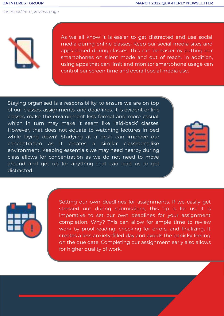

As we all know it is easier to get distracted and use social media during online classes. Keep our social media sites and apps closed during classes. This can be easier by putting our smartphones on silent mode and out of reach. In addition, using apps that can limit and monitor smartphone usage can control our screen time and overall social media use.

Staying organised is a responsibility, to ensure we are on top of our classes, assignments, and deadlines. It is evident online classes make the environment less formal and more casual, which in turn may make it seem like 'laid-back' classes. However, that does not equate to watching lectures in bed while laying down! Studying at a desk can improve our concentration as it creates a similar classroom-like environment. Keeping essentials we may need nearby during class allows for concentration as we do not need to move around and get up for anything that can lead us to get distracted.





Setting our own deadlines for assignments. If we easily get stressed out during submissions, this tip is for us! It is imperative to set our own deadlines for your assignment completion. Why? This can allow for ample time to review work by proof-reading, checking for errors, and finalizing. It creates a less anxiety-filled day and avoids the panicky feeling on the due date. Completing our assignment early also allows for higher quality of work.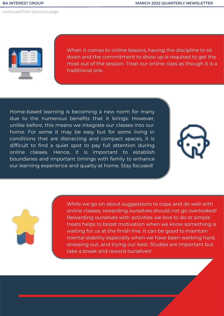

When it comes to online lessons, having the discipline to sit down and the commitment to show up is required to get the most out of the session. Treat our online class as though it is a traditional one.

Home-based learning is becoming a new norm for many due to the numerous benefits that it brings. However, unlike before, this means we integrate our classes into our home. For some it may be easy but for some living in conditions that are distracting and compact spaces, it is difficult to find a quiet spot to pay full attention during online classes. Hence, it is important to establish boundaries and important timings with family to enhance our learning experience and quality at home. Stay focused!





While we go on about suggestions to cope and do well with online classes, rewarding ourselves should not go overlooked! Rewarding ourselves with activities we love to do or simple treats helps to boost motivation when we know something is waiting for us at the finish line. It can be good to maintain mental stability especially when we have been working hard, stressing out, and trying our best. Studies are important but take a break and reward ourselves!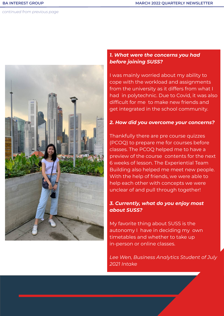

# *1. What were the concerns you had before joining SUSS?*

I was mainly worried about my ability to cope with the workload and assignments from the university as it differs from what I had in polytechnic. Due to Covid, it was also difficult for me to make new friends and get integrated in the school community.

#### *2. How did you overcome your concerns?*

Thankfully there are pre course quizzes (PCOQ) to prepare me for courses before classes. The PCOQ helped me to have a preview of the course contents for the next 6 weeks of lesson. The Experiential Team Building also helped me meet new people. With the help of friends, we were able to help each other with concepts we were unclear of and pull through together!

# *3. Currently, what do you enjoy most about SUSS?*

My favorite thing about SUSS is the autonomy I have in deciding my own timetables and whether to take up in-person or online classes.

*Lee Wen, Business Analytics Student of July 2021 Intake*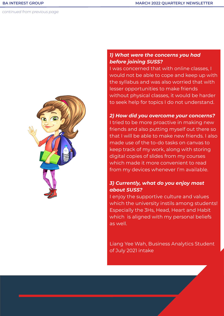

# *1) What were the concerns you had before joining SUSS?*

I was concerned that with online classes, I would not be able to cope and keep up with the syllabus and was also worried that with lesser opportunities to make friends without physical classes, it would be harder to seek help for topics I do not understand.

#### *2) How did you overcome your concerns?*

I tried to be more proactive in making new friends and also putting myself out there so that I will be able to make new friends. I also made use of the to-do tasks on canvas to keep track of my work, along with storing digital copies of slides from my courses which made it more convenient to read from my devices whenever I'm available.

# *3) Currently, what do you enjoy most about SUSS?*

I enjoy the supportive culture and values which the university instils among students! Especially the 3Hs, Head, Heart and Habit which is aligned with my personal beliefs as well.

Liang Yee Wah, Business Analytics Student of July 2021 intake